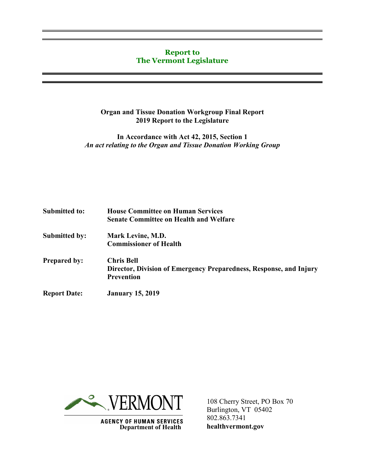### **Report to The Vermont Legislature**

### **Organ and Tissue Donation Workgroup Final Report 2019 Report to the Legislature**

**In Accordance with Act 42, 2015, Section 1** *An act relating to the Organ and Tissue Donation Working Group*

| <b>Submitted to:</b> | <b>House Committee on Human Services</b><br><b>Senate Committee on Health and Welfare</b> |
|----------------------|-------------------------------------------------------------------------------------------|
| <b>Submitted by:</b> | Mark Levine, M.D.                                                                         |
|                      | <b>Commissioner of Health</b>                                                             |
| <b>Prepared by:</b>  | <b>Chris Bell</b>                                                                         |
|                      | Director, Division of Emergency Preparedness, Response, and Injury                        |
|                      | <b>Prevention</b>                                                                         |
| <b>Report Date:</b>  | <b>January 15, 2019</b>                                                                   |



**AGENCY OF HUMAN SERVICES Department of Health** 

108 Cherry Street, PO Box 70 Burlington, VT 05402 802.863.7341 **healthvermont.gov**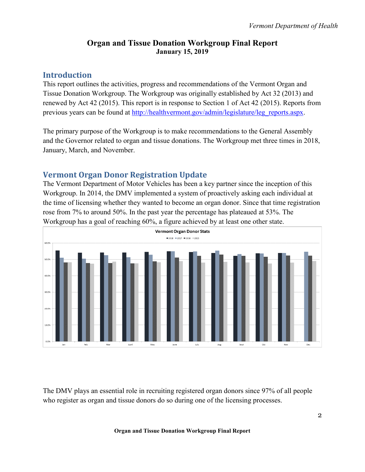## **Organ and Tissue Donation Workgroup Final Report January 15, 2019**

# **Introduction**

This report outlines the activities, progress and recommendations of the Vermont Organ and Tissue Donation Workgroup. The Workgroup was originally established by Act 32 (2013) and renewed by Act 42 (2015). This report is in response to Section 1 of Act 42 (2015). Reports from previous years can be found at [http://healthvermont.gov/admin/legislature/leg\\_reports.aspx.](http://healthvermont.gov/admin/legislature/leg_reports.aspx)

The primary purpose of the Workgroup is to make recommendations to the General Assembly and the Governor related to organ and tissue donations. The Workgroup met three times in 2018, January, March, and November.

# **Vermont Organ Donor Registration Update**

The Vermont Department of Motor Vehicles has been a key partner since the inception of this Workgroup. In 2014, the DMV implemented a system of proactively asking each individual at the time of licensing whether they wanted to become an organ donor. Since that time registration rose from 7% to around 50%. In the past year the percentage has plateaued at 53%. The Workgroup has a goal of reaching 60%, a figure achieved by at least one other state.



The DMV plays an essential role in recruiting registered organ donors since 97% of all people who register as organ and tissue donors do so during one of the licensing processes.

#### **Organ and Tissue Donation Workgroup Final Report**